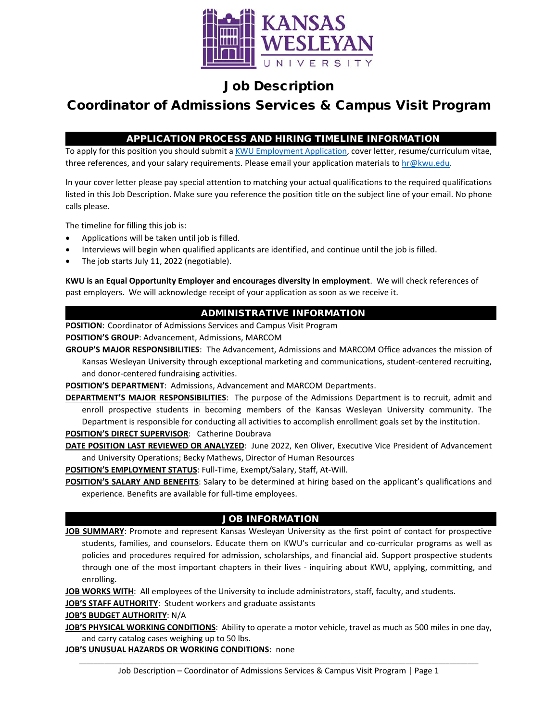

## Job Description

# Coordinator of Admissions Services & Campus Visit Program

## APPLICATION PROCESS AND HIRING TIMELINE INFORMATION

To apply for this position you should submit [a KWU Employment Application,](https://www.kwu.edu/wp-content/uploads/Employment-Application-Form-ELECTRONIC-Revised-3-.pdf) cover letter, resume/curriculum vitae, three references, and your salary requirements. Please email your application materials to [hr@kwu.edu.](mailto:hr@kwu.edu)

In your cover letter please pay special attention to matching your actual qualifications to the required qualifications listed in this Job Description. Make sure you reference the position title on the subject line of your email. No phone calls please.

The timeline for filling this job is:

- Applications will be taken until job is filled.
- Interviews will begin when qualified applicants are identified, and continue until the job is filled.
- The job starts July 11, 2022 (negotiable).

**KWU is an Equal Opportunity Employer and encourages diversity in employment**. We will check references of past employers. We will acknowledge receipt of your application as soon as we receive it.

## ADMINISTRATIVE INFORMATION

**POSITION**: Coordinator of Admissions Services and Campus Visit Program

**POSITION'S GROUP**: Advancement, Admissions, MARCOM

**GROUP'S MAJOR RESPONSIBILITIES**: The Advancement, Admissions and MARCOM Office advances the mission of Kansas Wesleyan University through exceptional marketing and communications, student-centered recruiting, and donor-centered fundraising activities.

**POSITION'S DEPARTMENT:** Admissions, Advancement and MARCOM Departments.

**DEPARTMENT'S MAJOR RESPONSIBILITIES**: The purpose of the Admissions Department is to recruit, admit and enroll prospective students in becoming members of the Kansas Wesleyan University community. The Department is responsible for conducting all activities to accomplish enrollment goals set by the institution.

**POSITION'S DIRECT SUPERVISOR**: Catherine Doubrava

**DATE POSITION LAST REVIEWED OR ANALYZED**: June 2022, Ken Oliver, Executive Vice President of Advancement and University Operations; Becky Mathews, Director of Human Resources

**POSITION'S EMPLOYMENT STATUS**: Full-Time, Exempt/Salary, Staff, At-Will.

**POSITION'S SALARY AND BENEFITS**: Salary to be determined at hiring based on the applicant's qualifications and experience. Benefits are available for full-time employees.

## JOB INFORMATION

**JOB SUMMARY**: Promote and represent Kansas Wesleyan University as the first point of contact for prospective students, families, and counselors. Educate them on KWU's curricular and co-curricular programs as well as policies and procedures required for admission, scholarships, and financial aid. Support prospective students through one of the most important chapters in their lives - inquiring about KWU, applying, committing, and enrolling.

**JOB WORKS WITH**: All employees of the University to include administrators, staff, faculty, and students.

**JOB'S STAFF AUTHORITY**: Student workers and graduate assistants

#### **JOB'S BUDGET AUTHORITY**: N/A

**JOB'S PHYSICAL WORKING CONDITIONS**: Ability to operate a motor vehicle, travel as much as 500 miles in one day, and carry catalog cases weighing up to 50 lbs.

**JOB'S UNUSUAL HAZARDS OR WORKING CONDITIONS**: none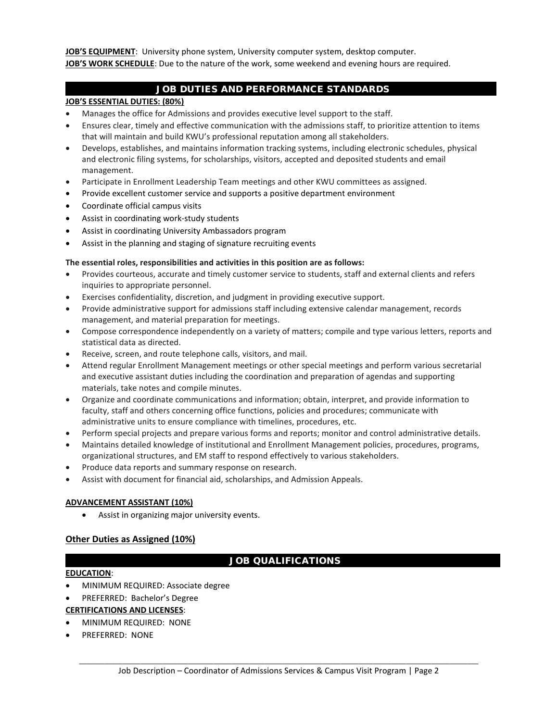**JOB'S EQUIPMENT**: University phone system, University computer system, desktop computer. **JOB'S WORK SCHEDULE**: Due to the nature of the work, some weekend and evening hours are required.

## JOB DUTIES AND PERFORMANCE STANDARDS

#### **JOB'S ESSENTIAL DUTIES: (80%)**

- Manages the office for Admissions and provides executive level support to the staff.
- Ensures clear, timely and effective communication with the admissions staff, to prioritize attention to items that will maintain and build KWU's professional reputation among all stakeholders.
- Develops, establishes, and maintains information tracking systems, including electronic schedules, physical and electronic filing systems, for scholarships, visitors, accepted and deposited students and email management.
- Participate in Enrollment Leadership Team meetings and other KWU committees as assigned.
- Provide excellent customer service and supports a positive department environment
- Coordinate official campus visits
- Assist in coordinating work-study students
- Assist in coordinating University Ambassadors program
- Assist in the planning and staging of signature recruiting events

#### **The essential roles, responsibilities and activities in this position are as follows:**

- Provides courteous, accurate and timely customer service to students, staff and external clients and refers inquiries to appropriate personnel.
- Exercises confidentiality, discretion, and judgment in providing executive support.
- Provide administrative support for admissions staff including extensive calendar management, records management, and material preparation for meetings.
- Compose correspondence independently on a variety of matters; compile and type various letters, reports and statistical data as directed.
- Receive, screen, and route telephone calls, visitors, and mail.
- Attend regular Enrollment Management meetings or other special meetings and perform various secretarial and executive assistant duties including the coordination and preparation of agendas and supporting materials, take notes and compile minutes.
- Organize and coordinate communications and information; obtain, interpret, and provide information to faculty, staff and others concerning office functions, policies and procedures; communicate with administrative units to ensure compliance with timelines, procedures, etc.
- Perform special projects and prepare various forms and reports; monitor and control administrative details.
- Maintains detailed knowledge of institutional and Enrollment Management policies, procedures, programs, organizational structures, and EM staff to respond effectively to various stakeholders.
- Produce data reports and summary response on research.
- Assist with document for financial aid, scholarships, and Admission Appeals.

#### **ADVANCEMENT ASSISTANT (10%)**

• Assist in organizing major university events.

## **Other Duties as Assigned (10%)**

## JOB QUALIFICATIONS

#### **EDUCATION**:

- MINIMUM REQUIRED: Associate degree
- PREFERRED: Bachelor's Degree

## **CERTIFICATIONS AND LICENSES**:

- MINIMUM REQUIRED: NONE
- PREFERRED: NONE